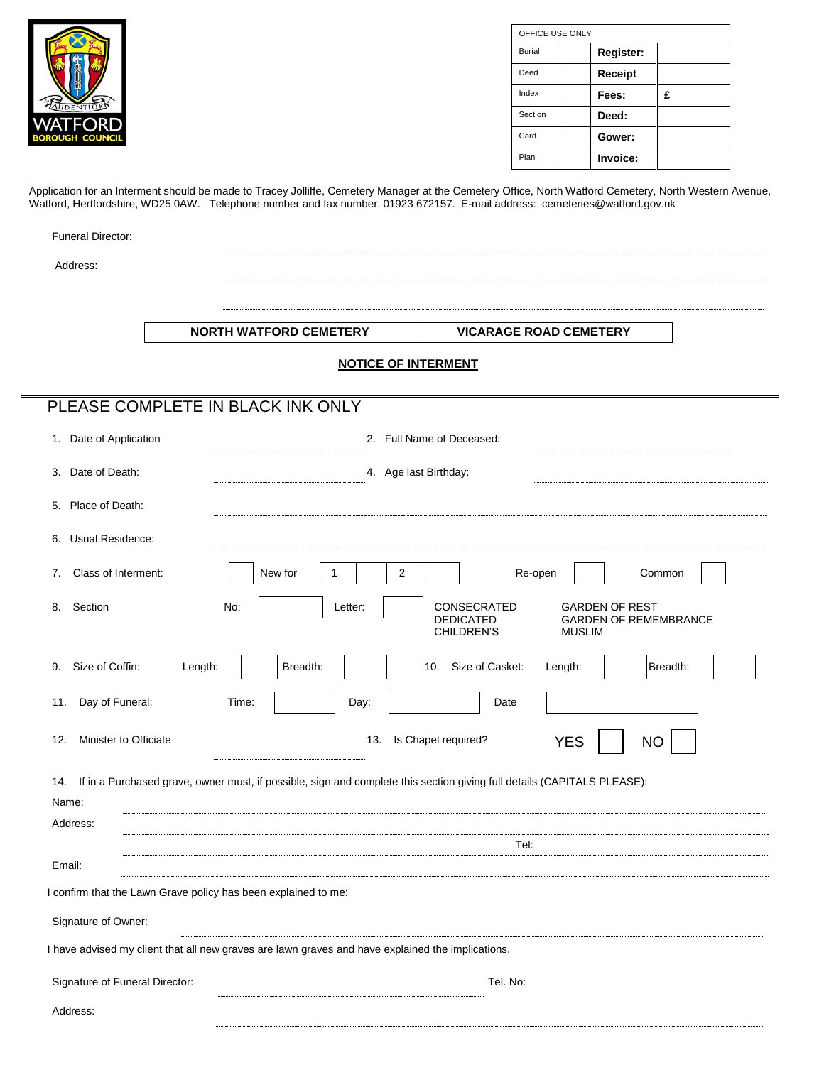| DENTION<br><b>/ATFORD</b> |
|---------------------------|
| <b>BOROUGH COUNCIL</b>    |

| OFFICE USE ONLY |  |           |   |  |  |  |
|-----------------|--|-----------|---|--|--|--|
| Burial          |  | Register: |   |  |  |  |
| Deed            |  | Receipt   |   |  |  |  |
| Index           |  | Fees:     | £ |  |  |  |
| Section         |  | Deed:     |   |  |  |  |
| Card            |  | Gower:    |   |  |  |  |
| Plan            |  | Invoice:  |   |  |  |  |

Application for an Interment should be made to Tracey Jolliffe, Cemetery Manager at the Cemetery Office, North Watford Cemetery, North Western Avenue, Watford, Hertfordshire, WD25 0AW. Telephone number and fax number: 01923 672157. E-mail address: cemeteries@watford.gov.uk

| <b>Funeral Director:</b>                                       |                                                                                                                                                  |  |  |  |  |  |  |  |
|----------------------------------------------------------------|--------------------------------------------------------------------------------------------------------------------------------------------------|--|--|--|--|--|--|--|
| Address:                                                       |                                                                                                                                                  |  |  |  |  |  |  |  |
|                                                                |                                                                                                                                                  |  |  |  |  |  |  |  |
|                                                                | <b>NORTH WATFORD CEMETERY</b><br><b>VICARAGE ROAD CEMETERY</b>                                                                                   |  |  |  |  |  |  |  |
| <b>NOTICE OF INTERMENT</b>                                     |                                                                                                                                                  |  |  |  |  |  |  |  |
|                                                                | PLEASE COMPLETE IN BLACK INK ONLY                                                                                                                |  |  |  |  |  |  |  |
| 1. Date of Application                                         | 2. Full Name of Deceased:                                                                                                                        |  |  |  |  |  |  |  |
| Date of Death:<br>3.                                           | 4. Age last Birthday:                                                                                                                            |  |  |  |  |  |  |  |
| Place of Death:<br>5.                                          |                                                                                                                                                  |  |  |  |  |  |  |  |
| Usual Residence:<br>6.                                         |                                                                                                                                                  |  |  |  |  |  |  |  |
| Class of Interment:<br>7.                                      | $\overline{2}$<br>New for<br>$\mathbf{1}$<br>Re-open<br>Common                                                                                   |  |  |  |  |  |  |  |
| Section<br>8.                                                  | CONSECRATED<br><b>GARDEN OF REST</b><br>No:<br>Letter:<br><b>DEDICATED</b><br><b>GARDEN OF REMEMBRANCE</b><br><b>CHILDREN'S</b><br><b>MUSLIM</b> |  |  |  |  |  |  |  |
| Size of Coffin:<br>9.                                          | Breadth:<br>10. Size of Casket:<br>Breadth:<br>Length:<br>Length:                                                                                |  |  |  |  |  |  |  |
| Day of Funeral:<br>11.                                         | Time:<br>Day:<br>Date                                                                                                                            |  |  |  |  |  |  |  |
| Minister to Officiate<br>12.                                   | Is Chapel required?<br>13.<br><b>YES</b><br><b>NO</b>                                                                                            |  |  |  |  |  |  |  |
| 14.<br>Name:                                                   | If in a Purchased grave, owner must, if possible, sign and complete this section giving full details (CAPITALS PLEASE):                          |  |  |  |  |  |  |  |
| Address:                                                       | Tel:                                                                                                                                             |  |  |  |  |  |  |  |
| Email:                                                         |                                                                                                                                                  |  |  |  |  |  |  |  |
| I confirm that the Lawn Grave policy has been explained to me: |                                                                                                                                                  |  |  |  |  |  |  |  |
| Signature of Owner:                                            |                                                                                                                                                  |  |  |  |  |  |  |  |
|                                                                | I have advised my client that all new graves are lawn graves and have explained the implications.                                                |  |  |  |  |  |  |  |
| Signature of Funeral Director:                                 | Tel. No:                                                                                                                                         |  |  |  |  |  |  |  |
| Address:                                                       |                                                                                                                                                  |  |  |  |  |  |  |  |